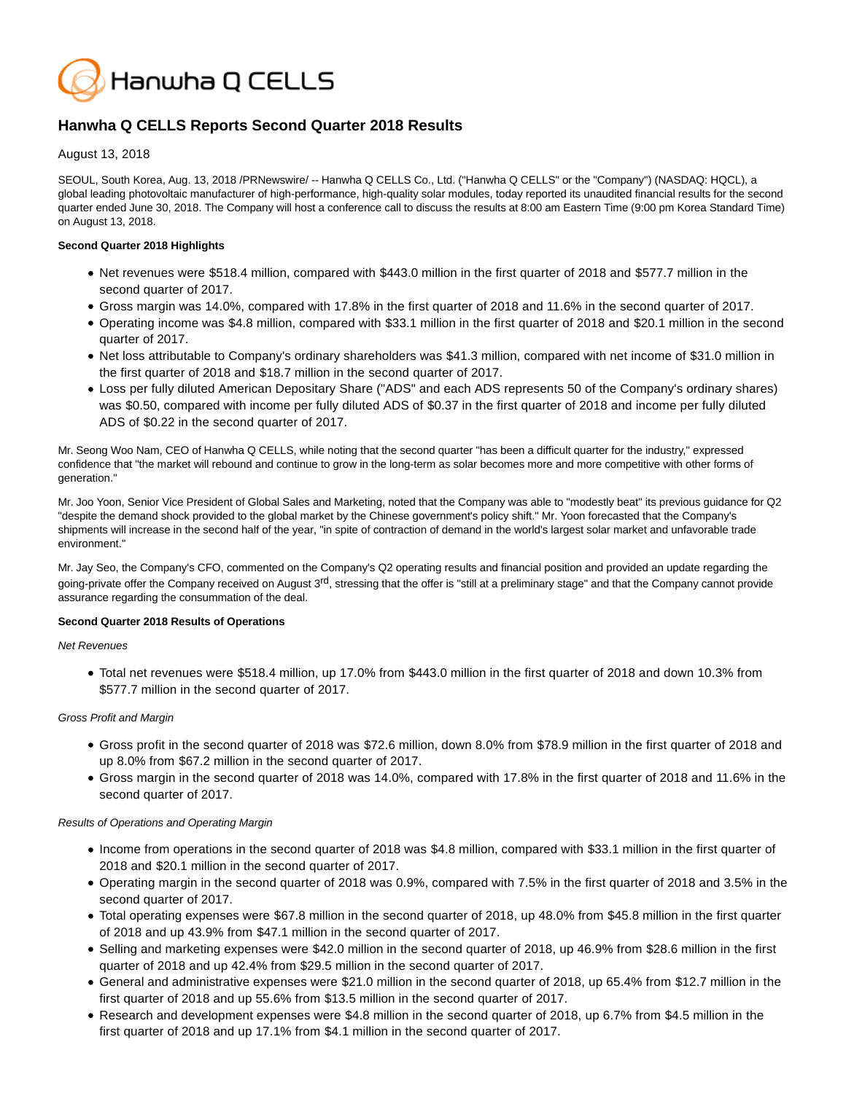

# **Hanwha Q CELLS Reports Second Quarter 2018 Results**

August 13, 2018

SEOUL, South Korea, Aug. 13, 2018 /PRNewswire/ -- Hanwha Q CELLS Co., Ltd. ("Hanwha Q CELLS" or the "Company") (NASDAQ: HQCL), a global leading photovoltaic manufacturer of high-performance, high-quality solar modules, today reported its unaudited financial results for the second quarter ended June 30, 2018. The Company will host a conference call to discuss the results at 8:00 am Eastern Time (9:00 pm Korea Standard Time) on August 13, 2018.

## **Second Quarter 2018 Highlights**

- Net revenues were \$518.4 million, compared with \$443.0 million in the first quarter of 2018 and \$577.7 million in the second quarter of 2017.
- Gross margin was 14.0%, compared with 17.8% in the first quarter of 2018 and 11.6% in the second quarter of 2017.
- Operating income was \$4.8 million, compared with \$33.1 million in the first quarter of 2018 and \$20.1 million in the second quarter of 2017.
- Net loss attributable to Company's ordinary shareholders was \$41.3 million, compared with net income of \$31.0 million in the first quarter of 2018 and \$18.7 million in the second quarter of 2017.
- Loss per fully diluted American Depositary Share ("ADS" and each ADS represents 50 of the Company's ordinary shares) was \$0.50, compared with income per fully diluted ADS of \$0.37 in the first quarter of 2018 and income per fully diluted ADS of \$0.22 in the second quarter of 2017.

Mr. Seong Woo Nam, CEO of Hanwha Q CELLS, while noting that the second quarter "has been a difficult quarter for the industry," expressed confidence that "the market will rebound and continue to grow in the long-term as solar becomes more and more competitive with other forms of generation."

Mr. Joo Yoon, Senior Vice President of Global Sales and Marketing, noted that the Company was able to "modestly beat" its previous guidance for Q2 "despite the demand shock provided to the global market by the Chinese government's policy shift." Mr. Yoon forecasted that the Company's shipments will increase in the second half of the year, "in spite of contraction of demand in the world's largest solar market and unfavorable trade environment."

Mr. Jay Seo, the Company's CFO, commented on the Company's Q2 operating results and financial position and provided an update regarding the going-private offer the Company received on August 3<sup>rd</sup>, stressing that the offer is "still at a preliminary stage" and that the Company cannot provide assurance regarding the consummation of the deal.

## **Second Quarter 2018 Results of Operations**

## Net Revenues

Total net revenues were \$518.4 million, up 17.0% from \$443.0 million in the first quarter of 2018 and down 10.3% from \$577.7 million in the second quarter of 2017.

## Gross Profit and Margin

- Gross profit in the second quarter of 2018 was \$72.6 million, down 8.0% from \$78.9 million in the first quarter of 2018 and up 8.0% from \$67.2 million in the second quarter of 2017.
- Gross margin in the second quarter of 2018 was 14.0%, compared with 17.8% in the first quarter of 2018 and 11.6% in the second quarter of 2017.

## Results of Operations and Operating Margin

- Income from operations in the second quarter of 2018 was \$4.8 million, compared with \$33.1 million in the first quarter of 2018 and \$20.1 million in the second quarter of 2017.
- Operating margin in the second quarter of 2018 was 0.9%, compared with 7.5% in the first quarter of 2018 and 3.5% in the second quarter of 2017.
- Total operating expenses were \$67.8 million in the second quarter of 2018, up 48.0% from \$45.8 million in the first quarter of 2018 and up 43.9% from \$47.1 million in the second quarter of 2017.
- Selling and marketing expenses were \$42.0 million in the second quarter of 2018, up 46.9% from \$28.6 million in the first quarter of 2018 and up 42.4% from \$29.5 million in the second quarter of 2017.
- General and administrative expenses were \$21.0 million in the second quarter of 2018, up 65.4% from \$12.7 million in the first quarter of 2018 and up 55.6% from \$13.5 million in the second quarter of 2017.
- Research and development expenses were \$4.8 million in the second quarter of 2018, up 6.7% from \$4.5 million in the first quarter of 2018 and up 17.1% from \$4.1 million in the second quarter of 2017.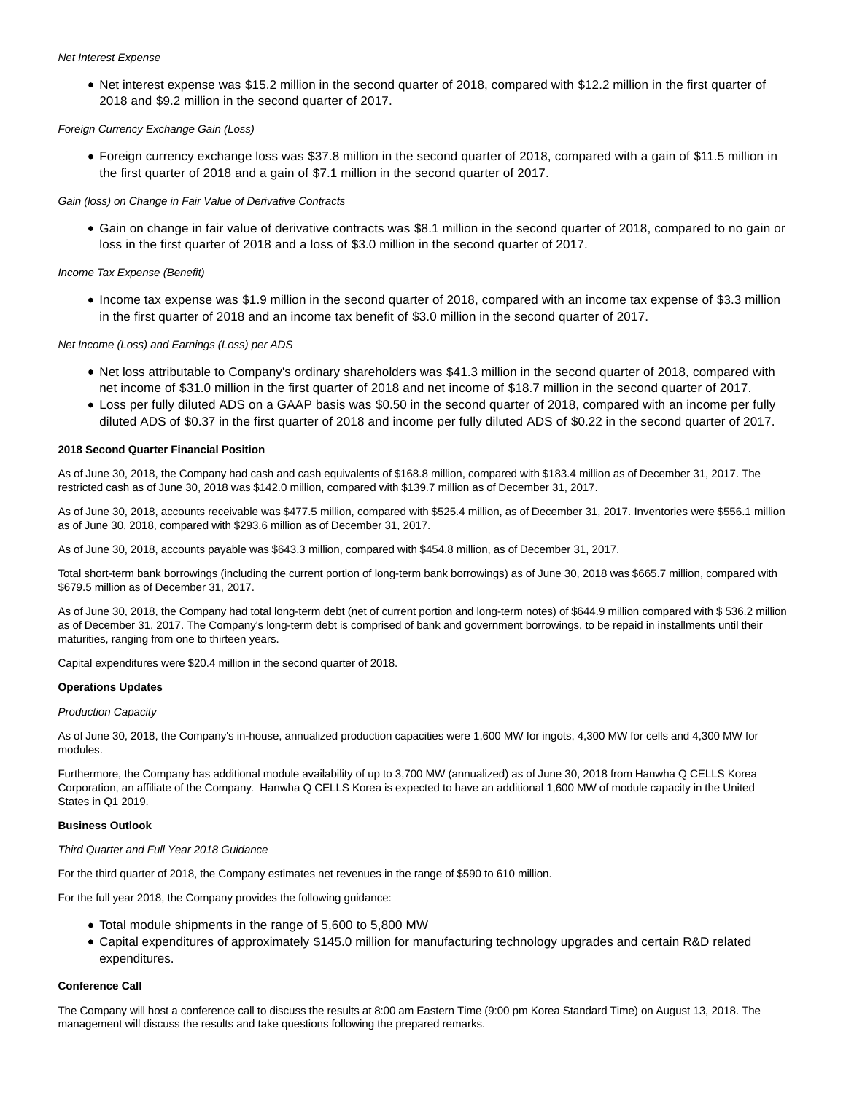#### Net Interest Expense

• Net interest expense was \$15.2 million in the second quarter of 2018, compared with \$12.2 million in the first quarter of 2018 and \$9.2 million in the second quarter of 2017.

## Foreign Currency Exchange Gain (Loss)

Foreign currency exchange loss was \$37.8 million in the second quarter of 2018, compared with a gain of \$11.5 million in the first quarter of 2018 and a gain of \$7.1 million in the second quarter of 2017.

Gain (loss) on Change in Fair Value of Derivative Contracts

Gain on change in fair value of derivative contracts was \$8.1 million in the second quarter of 2018, compared to no gain or loss in the first quarter of 2018 and a loss of \$3.0 million in the second quarter of 2017.

## Income Tax Expense (Benefit)

• Income tax expense was \$1.9 million in the second quarter of 2018, compared with an income tax expense of \$3.3 million in the first quarter of 2018 and an income tax benefit of \$3.0 million in the second quarter of 2017.

## Net Income (Loss) and Earnings (Loss) per ADS

- Net loss attributable to Company's ordinary shareholders was \$41.3 million in the second quarter of 2018, compared with net income of \$31.0 million in the first quarter of 2018 and net income of \$18.7 million in the second quarter of 2017.
- Loss per fully diluted ADS on a GAAP basis was \$0.50 in the second quarter of 2018, compared with an income per fully diluted ADS of \$0.37 in the first quarter of 2018 and income per fully diluted ADS of \$0.22 in the second quarter of 2017.

## **2018 Second Quarter Financial Position**

As of June 30, 2018, the Company had cash and cash equivalents of \$168.8 million, compared with \$183.4 million as of December 31, 2017. The restricted cash as of June 30, 2018 was \$142.0 million, compared with \$139.7 million as of December 31, 2017.

As of June 30, 2018, accounts receivable was \$477.5 million, compared with \$525.4 million, as of December 31, 2017. Inventories were \$556.1 million as of June 30, 2018, compared with \$293.6 million as of December 31, 2017.

As of June 30, 2018, accounts payable was \$643.3 million, compared with \$454.8 million, as of December 31, 2017.

Total short-term bank borrowings (including the current portion of long-term bank borrowings) as of June 30, 2018 was \$665.7 million, compared with \$679.5 million as of December 31, 2017.

As of June 30, 2018, the Company had total long-term debt (net of current portion and long-term notes) of \$644.9 million compared with \$ 536.2 million as of December 31, 2017. The Company's long-term debt is comprised of bank and government borrowings, to be repaid in installments until their maturities, ranging from one to thirteen years.

Capital expenditures were \$20.4 million in the second quarter of 2018.

## **Operations Updates**

## Production Capacity

As of June 30, 2018, the Company's in-house, annualized production capacities were 1,600 MW for ingots, 4,300 MW for cells and 4,300 MW for modules.

Furthermore, the Company has additional module availability of up to 3,700 MW (annualized) as of June 30, 2018 from Hanwha Q CELLS Korea Corporation, an affiliate of the Company. Hanwha Q CELLS Korea is expected to have an additional 1,600 MW of module capacity in the United States in Q1 2019.

## **Business Outlook**

## Third Quarter and Full Year 2018 Guidance

For the third quarter of 2018, the Company estimates net revenues in the range of \$590 to 610 million.

For the full year 2018, the Company provides the following guidance:

- Total module shipments in the range of 5,600 to 5,800 MW
- Capital expenditures of approximately \$145.0 million for manufacturing technology upgrades and certain R&D related expenditures.

## **Conference Call**

The Company will host a conference call to discuss the results at 8:00 am Eastern Time (9:00 pm Korea Standard Time) on August 13, 2018. The management will discuss the results and take questions following the prepared remarks.